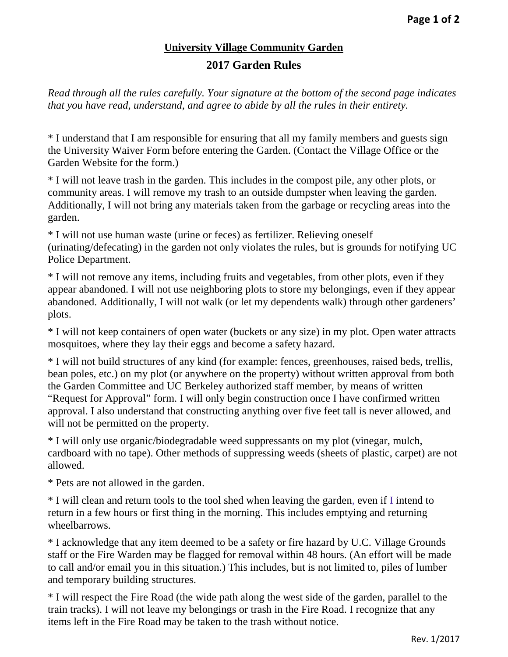## **University Village Community Garden 2017 Garden Rules**

*Read through all the rules carefully. Your signature at the bottom of the second page indicates that you have read, understand, and agree to abide by all the rules in their entirety.*

\* I understand that I am responsible for ensuring that all my family members and guests sign the University Waiver Form before entering the Garden. (Contact the Village Office or the Garden Website for the form.)

\* I will not leave trash in the garden. This includes in the compost pile, any other plots, or community areas. I will remove my trash to an outside dumpster when leaving the garden. Additionally, I will not bring any materials taken from the garbage or recycling areas into the garden.

\* I will not use human waste (urine or feces) as fertilizer. Relieving oneself (urinating/defecating) in the garden not only violates the rules, but is grounds for notifying UC Police Department.

\* I will not remove any items, including fruits and vegetables, from other plots, even if they appear abandoned. I will not use neighboring plots to store my belongings, even if they appear abandoned. Additionally, I will not walk (or let my dependents walk) through other gardeners' plots.

\* I will not keep containers of open water (buckets or any size) in my plot. Open water attracts mosquitoes, where they lay their eggs and become a safety hazard.

\* I will not build structures of any kind (for example: fences, greenhouses, raised beds, trellis, bean poles, etc.) on my plot (or anywhere on the property) without written approval from both the Garden Committee and UC Berkeley authorized staff member, by means of written "Request for Approval" form. I will only begin construction once I have confirmed written approval. I also understand that constructing anything over five feet tall is never allowed, and will not be permitted on the property.

\* I will only use organic/biodegradable weed suppressants on my plot (vinegar, mulch, cardboard with no tape). Other methods of suppressing weeds (sheets of plastic, carpet) are not allowed.

\* Pets are not allowed in the garden.

\* I will clean and return tools to the tool shed when leaving the garden, even if I intend to return in a few hours or first thing in the morning. This includes emptying and returning wheelbarrows.

\* I acknowledge that any item deemed to be a safety or fire hazard by U.C. Village Grounds staff or the Fire Warden may be flagged for removal within 48 hours. (An effort will be made to call and/or email you in this situation.) This includes, but is not limited to, piles of lumber and temporary building structures.

\* I will respect the Fire Road (the wide path along the west side of the garden, parallel to the train tracks). I will not leave my belongings or trash in the Fire Road. I recognize that any items left in the Fire Road may be taken to the trash without notice.